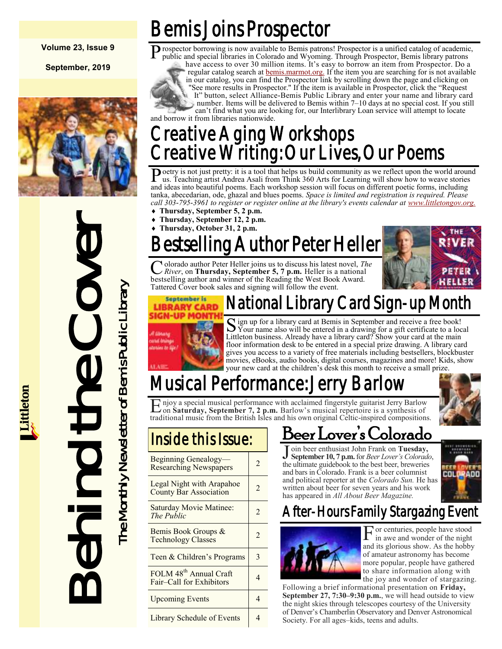#### **Volume 23, Issue 9**

**September, 2019**



# Install the Cover book sales and wind of Behind the Cover book sales and since the Monthly Newsletter of Cover book sales and since the Monthly Newsletter of Tattered Gover book sales and since the Monthly Cover book sales

# Bemis Joins Prospector

Prospector borrowing is now available to Bemis patrons! Prospector is a unified catalog of academic, public and special libraries in Colorado and Wyoming. Through Prospector, Bemis library patrons public and special libraries in Colorado and Wyoming. Through Prospector, Bemis library patrons

have access to over 30 million items. It's easy to borrow an item from Prospector. Do a regular catalog search at [bemis.marmot.org.](https://bemis.marmot.org/) If the item you are searching for is not available in our catalog, you can find the Prospector link by scrolling down the page and clicking on "See more results in Prospector." If the item is available in Prospector, click the "Request It" button, select Alliance-Bemis Public Library and enter your name and library card number. Items will be delivered to Bemis within 7–10 days at no special cost. If you still can't find what you are looking for, our Interlibrary Loan service will attempt to locate

#### Creative Aging Workshops Creative Writing: Our Lives, Our Poems and borrow it from libraries nationwide.

Poetry is not just pretty: it is a tool that helps us build community as we reflect upon the world around us. Teaching artist Andrea Asali from Think 360 Arts for Learning will show how to weave stories us. Teaching artist Andrea Asali from Think 360 Arts for Learning will show how to weave stories and ideas into beautiful poems. Each workshop session will focus on different poetic forms, including tanka, abecedarian, ode, ghazal and blues poems. *Space is limited and registration is required. Please call 303-795-3961 to register or register online at the library's events calendar at [www.littletongov.org.](https://www.littletongov.org/city-services/city-departments/bemis-library/library-events-calendar/-curm-9/-cury-2019)* 

- **Thursday, September 5, 2 p.m.**
- **Thursday, September 12, 2 p.m.**
- **Thursday, October 31, 2 p.m.**

# estselling Author Peter Heller

C olorado author Peter Heller joins us to discuss his latest novel, *Th* River, on **Thursday**, September 5, 7 p.m. Heller is a national olorado author Peter Heller joins us to discuss his latest novel, *The*  bestselling author and winner of the Reading the West Book Award. Tattered Cover book sales and signing will follow the event.





#### National Library Card Sign-up Month

S ign up for a library card at Bemis in September and receive a free book!<br>Your name also will be entered in a drawing for a gift certificate to a local ign up for a library card at Bemis in September and receive a free book! Littleton business. Already have a library card? Show your card at the main floor information desk to be entered in a special prize drawing. A library card gives you access to a variety of free materials including bestsellers, blockbuster movies, eBooks, audio books, digital courses, magazines and more! Kids, show your new card at the children's desk this month to receive a small prize.

## Musical Performance: Jerry Barlow

E njoy a special musical performance with acclaimed fingerstyle guitarist Jerry Barlow<br>on Saturday, September 7, 2 p.m. Barlow's musical repertoire is a synthesis of on **Saturday, September 7, 2 p.m.** Barlow's musical repertoire is a synthesis of traditional music from the British Isles and his own original Celtic-inspired compositions.

| Beginning Genealogy-<br><b>Researching Newspapers</b>          | $\mathfrak{D}$ |
|----------------------------------------------------------------|----------------|
| Legal Night with Arapahoe<br><b>County Bar Association</b>     | 2              |
| Saturday Movie Matinee:<br>The Public                          | $\mathfrak{D}$ |
| Bemis Book Groups &<br><b>Technology Classes</b>               | $\mathfrak{D}$ |
| Teen & Children's Programs                                     | 3              |
| FOLM 48 <sup>th</sup> Annual Craft<br>Fair-Call for Exhibitors | 4              |
| <b>Upcoming Events</b>                                         | 4              |
| Library Schedule of Events                                     |                |

#### Deer Lover's Colorado

J oin beer enthusiast John Frank on **Tuesday**,<br>September 10,7 p.m. for *Beer Lover's Colorad* **September 10, 7 p.m.** for *Beer Lover's Colorado*, the ultimate guidebook to the best beer, breweries and bars in Colorado. Frank is a beer columnist and political reporter at the *Colorado Sun.* He has written about beer for seven years and his work has appeared in *All About Beer Magazine.*



#### After-Hours Family Stargazing Event



F or centuries, people have stood in awe and wonder of the night and its glorious show. As the hobby of amateur astronomy has become more popular, people have gathered to share information along with the joy and wonder of stargazing.

Following a brief informational presentation on **Friday, September 27, 7:30–9:30 p.m.**, we will head outside to view the night skies through telescopes courtesy of the University of Denver's Chamberlin Observatory and Denver Astronomical Society. For all ages–kids, teens and adults.

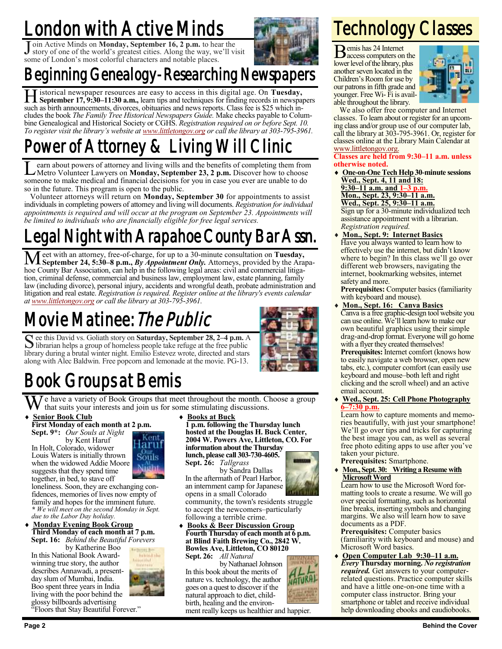# London with Active Minds

Join Active Minds on **Monday, September 16, 2 p.m.** to hear the story of one of the world's greatest cities. Along the way, we'll visit oin Active Minds on **Monday, September 16, 2 p.m.** to hear the some of London's most colorful characters and notable places.



## Beginning Genealogy-Researching Newspapers

H istorical newspaper resources are easy to access in this digital age. On **Tuesday, September 17, 9:30–11:30 a.m.,** learn tips and techniques for finding records in newspapers such as birth announcements, divorces, obituaries and news reports. Class fee is \$25 which includes the book *The Family Tree Historical Newspapers Guide.* Make checks payable to Columbine Genealogical and Historical Society or CGHS. *Registration required on or before Sept. 10. To register visit the library's website at [www.littletongov.org](https://www.littletongov.org/city-services/city-departments/bemis-library/library-events-calendar/-curm-9/-cury-2019) or call the library at 303-795-3961.*

## Power of Attorney & Living Will Clinic

 $\overline{\mathsf{L}}$ earn about powers of attorney and living wills and the benefits of completing them from Metro Volunteer Lawyers on **Monday, September 23, 2 p.m.** Discover how to choose someone to make medical and financial decisions for you in case you ever are unable to do so in the future. This program is open to the public.

Volunteer attorneys will return on **Monday, September 30** for appointments to assist individuals in completing powers of attorney and living will documents. *Registration for individual appointments is required and will occur at the program on September 23. Appointments will be limited to individuals who are financially eligible for free legal services.*

## Legal Night with Arapahoe County Bar Assn.

Meet with an attorney, free-of-charge, for up to a 30-minute consultation on **Tuesday,**<br> **Meet with an attorneys, from any** *Appointment Only***. Attorneys, provided by the Arapa**hoe County Bar Association, can help in the following legal areas: civil and commercial litigation, criminal defense, commercial and business law, employment law, estate planning, family law (including divorce), personal injury, accidents and wrongful death, probate administration and litigation and real estate. *Registration is required. Register online at the library's events calendar at [www.littletongov.org](https://www.littletongov.org/city-services/city-departments/bemis-library/library-events-calendar/-curm-9/-cury-2019) or call the library at 303-795-3961.*

## Movie Matinee: The Public

September 28, 2–4 p.m. A librarian helps a group of homeless people take refuge at the free public librarian helps a group of homeless people take refuge at the free public library during a brutal winter night. Emilio Estevez wrote, directed and stars along with Alec Baldwin. Free popcorn and lemonade at the movie. PG-13.



## Book Groups at Bemis

We have a variety of Book Groups that meet throughout the month. Choose a group<br>  $\leftrightarrow$  Senior Book Club<br>  $\leftrightarrow$  Books at Buck that suits your interests and join us for some stimulating discussions.

> Kent laruf Souls

 **Senior Book Club First Monday of each month at 2 p.m. Sept. 9\*:** *Our Souls at Night*

by Kent Haruf

In Holt, Colorado, widower Louis Waters is initially thrown when the widowed Addie Moore suggests that they spend time together, in bed, to stave off

loneliness. Soon, they are exchanging confidences, memories of lives now empty of family and hopes for the imminent future. *\* We will meet on the second Monday in Sept. due to the Labor Day holiday.*

#### **Monday Evening Book Group Third Monday of each month at 7 p.m. Sept. 16:** *Behind the Beautiful Forevers*

by Katherine Boo In this National Book Awardwinning true story, the author describes Annawadi, a presentday slum of Mumbai, India. Boo spent three years in India living with the poor behind the glossy billboards advertising



"Floors that Stay Beautiful Forever."

**Books at Buck**

**1 p.m. following the Thursday lunch hosted at the Douglas H. Buck Center, 2004 W. Powers Ave, Littleton, CO. For information about the Thursday lunch, please call 303-730-4605.**

**Sept. 26:** *Tallgrass*



by Sandra Dallas In the aftermath of Pearl Harbor, an internment camp for Japanese opens in a small Colorado

community, the town's residents struggle to accept the newcomers–particularly following a terrible crime.

 **Books & Beer Discussion Group Fourth Thursday of each month at 6 p.m. at Blind Faith Brewing Co., 2842 W. Bowles Ave, Littleton, CO 80120 Sept. 26:** *All Natural*

by Nathanael Johnson In this book about the merits of nature vs. technology, the author goes on a quest to discover if the natural approach to diet, childbirth, healing and the environ-

ment really keeps us healthier and happier.

# Technology Classes

Bemis has 24 Internet access computers on the lower level of the library, plus another seven located in the Children's Room for use by our patrons in fifth grade and younger. Free Wi- Fi is available throughout the library.



We also offer free computer and Internet classes. To learn about or register for an upcoming class and/or group use of our computer lab, call the library at 303-795-3961. Or, register for classes online at the Library Main Calendar at [www.littletongov.org.](https://www.littletongov.org/city-services/city-departments/bemis-library/library-events-calendar/-curm-7/-cury-2019/-selcat-157)

#### **Classes are held from 9:30–11 a.m. unless otherwise noted.**

- **One-on-One Tech Help 30-minute sessions Wed., Sept. 4, 11 and 18:**
- **9:30–11 a.m. and 1–3 p.m.**

**Mon., Sept. 23, 9:30–11 a.m.**

**Wed., Sept. 25, 9:30–11 a.m.** Sign up for a 30-minute individualized tech assistance appointment with a librarian. *Registration required.*

 **Mon., Sept. 9: Internet Basics** Have you always wanted to learn how to effectively use the internet, but didn't know where to begin? In this class we'll go over different web browsers, navigating the internet, bookmarking websites, internet safety and more.

**Prerequisites:** Computer basics (familiarity with keyboard and mouse).

- **Mon., Sept. 16: Canva Basics** Canva is a free graphic-design tool website you can use online. We'll learn how to make our own beautiful graphics using their simple drag-and-drop format. Everyone will go home with a flyer they created themselves! **Prerequisites:** Internet comfort (knows how to easily navigate a web browser, open new tabs, etc.), computer comfort (can easily use keyboard and mouse–both left and right clicking and the scroll wheel) and an active email account.
- **Wed., Sept. 25: Cell Phone Photography 6–7:30 p.m.**

Learn how to capture moments and memories beautifully, with just your smartphone! We'll go over tips and tricks for capturing the best image you can, as well as several free photo editing apps to use after you've taken your picture.

#### **Prerequisites:** Smartphone. **Mon., Sept. 30: Writing a Resume with Microsoft Word**

Learn how to use the Microsoft Word formatting tools to create a resume. We will go over special formatting, such as horizontal line breaks, inserting symbols and changing margins. We also will learn how to save documents as a PDF.

**Prerequisites:** Computer basics (familiarity with keyboard and mouse) and Microsoft Word basics.

 **Open Computer Lab 9:30–11 a.m.** *Every* **Thursday morning.** *No registration required.* Get answers to your computerrelated questions. Practice computer skills and have a little one-on-one time with a computer class instructor. Bring your smartphone or tablet and receive individual help downloading ebooks and eaudiobooks.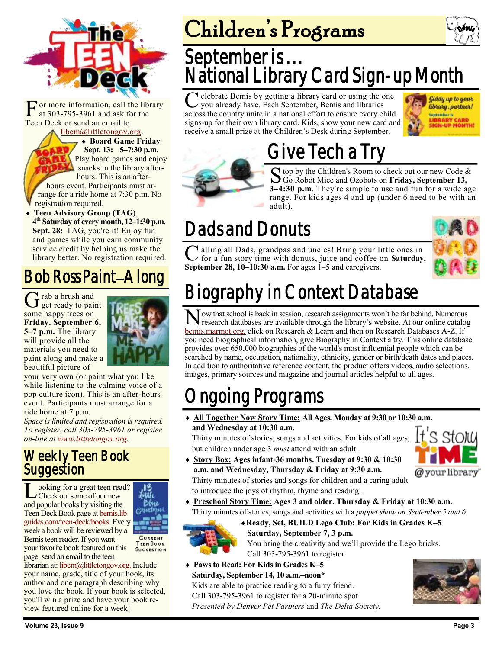

[F](https://bemis.libguides.com/teen-deck) or more information, call the at 303-795-3961 and ask for Teen Deck or send an email to or more information, call the library at 303-795-3961 and ask for the<br>n Deck or send an email to<br>httletongov.org.

[libem@littletongov.org.](mailto:libem@littletongov.org.)

 **Board Game Friday Board Game Friday Sept. 13: 5–7:30 p.m. Sept. p.m. Play board games and enjoy**  $\sqrt{\frac{1}{\pi}}$  snacks in the library after $hours. This is an after$ hours event. Participants must ar-

**Telephone at 7:30 p.m.** No **the registration required.** 

 $\bullet$  **Teen Advisory Group (TAG)**  $\overline{4^{\text{th}}}$  Saturday of every month, 12–1:30 p.m. Sept. 28: TAG, you're it! Enjoy fun and games while you earn community service credit by helping us make the library better. No registration required.

#### Bob Ross Paint–Along Bob Ross Paint–Along

G rab a brush and get ready to paint rab a brush and get ready to paint the paint of paint  $\mathbf{r}$ some happy trees on **Friday, September 6, Minister all the library will be all the library will be all the library will be all the library will be all the statements. 5–7 p.m.** The library will provide all the  $\blacksquare$ materials you need to **the materials you need to the listensity** paint along and make a pop culture and the calminated beautiful picture of **the action** 



your very own (or paint what you like while listening to the calming voice of a pop culture icon). This is an after-hours event. Participants must arrange for a ride home at  $\overline{7}$  p.m.

*Space is limited and registration is required. To register, call 303-795-3961 or register on-line at [www.littletongov.org.](https://www.littletongov.org/city-services/city-departments/bemis-library/library-events-calendar/-curm-9/-cury-2019/-selcat-97)*

#### Weekly Teen Book **Suggestion** Weekly Teen Book **Suggestion**

L ooking for a great teen read?<br>
Check out some of our new<br>
and popular books by visiting the ooking for a great teen read?  $\Box$ Check out some of our new **AML** Teen Deck Book page at **bemis.lib** [guides.com/teen-deck/books.](https://bemis.libguides.com/teen-deck/books) Every week a book will be reviewed by a Bemis teen reader. If you want [your favorite book featured](mailto:libem@littletongov.org) on this succession page, send an email to the teen

librarian at: libem@littletongov.org. Include your name, grade, title of your book, its author and one paragraph describing why you love the book. If your book is selected, you'll win a prize and have your book review featured online for a week!

# Children's Programs



## September is... National Library Card Sign-up Month

C you already have. Each September, Bemis and libraries elebrate Bemis by getting a library card or using the one across the country unite in a national effort to ensure every child signs-up for their own library card. Kids, show your new card and receive a small prize at the Children's Desk during September.



# Give Tech a Try

S top by the Children's Room to check out our new Code  $\delta$  Go Robot Mice and Ozobots on **Friday, September 13,**  $\bigcap$  top by the Children's Room to check out our new Code & **3–4:30 p.m**. They're simple to use and fun for a wide age range. For kids ages 4 and up (under 6 need to be with an adult).

# Dads and Donuts

C alling all Dads, grandpas and uncles! Bring your life for a fun story time with donuts, juice and coffee of September 28, 10–10:30 a.m. For ages 1–5 and caregivers. alling all Dads, grandpas and uncles! Bring your little ones in for a fun story time with donuts, juice and coffee on **Saturday,** 



# Biography in Context Database

N ow that school is back in session, research assignments won't be far behind. Numerous research databases are available through the library's website. At our online catalog research databases are available through the library's website. At our online catalog [bemis.marmot.org,](https://bemis.marmot.org/) click on Research & Learn and then on Research Databases A-Z. If you need biographical information, give Biography in Context a try. This online database provides over 650,000 biographies of the world's most influential people which can be searched by name, occupation, nationality, ethnicity, gender or birth/death dates and places. In addition to authoritative reference content, the product offers videos, audio selections, images, primary sources and magazine and journal articles helpful to all ages.

# ngoing Programs

 **All Together Now Story Time: All Ages. Monday at 9:30 or 10:30 a.m. and Wednesday at 10:30 a.m.**

Thirty minutes of stories, songs and activities. For kids of all ages, but children under age 3 *must* attend with an adult.

- S Stoiw @your library
- **Story Box: Ages infant-36 months. Tuesday at 9:30 & 10:30 a.m. and Wednesday, Thursday & Friday at 9:30 a.m.** Thirty minutes of stories and songs for children and a caring adult to introduce the joys of rhythm, rhyme and reading.
- **Preschool Story Time: Ages 3 and older. Thursday & Friday at 10:30 a.m.** Thirty minutes of stories, songs and activities with a *puppet show on September 5 and 6.*



**Ready, Set, BUILD Lego Club: For Kids in Grades K–5 Saturday, September 7, 3 p.m.** You bring the creativity and we'll provide the Lego bricks.

Call 303-795-3961 to register.

 **Paws to Read: For Kids in Grades K–5 Saturday, September 14, 10 a.m.–noon\***

Kids are able to practice reading to a furry friend. Call 303-795-3961 to register for a 20-minute spot. *Presented by Denver Pet Partners* and *The Delta Society.*